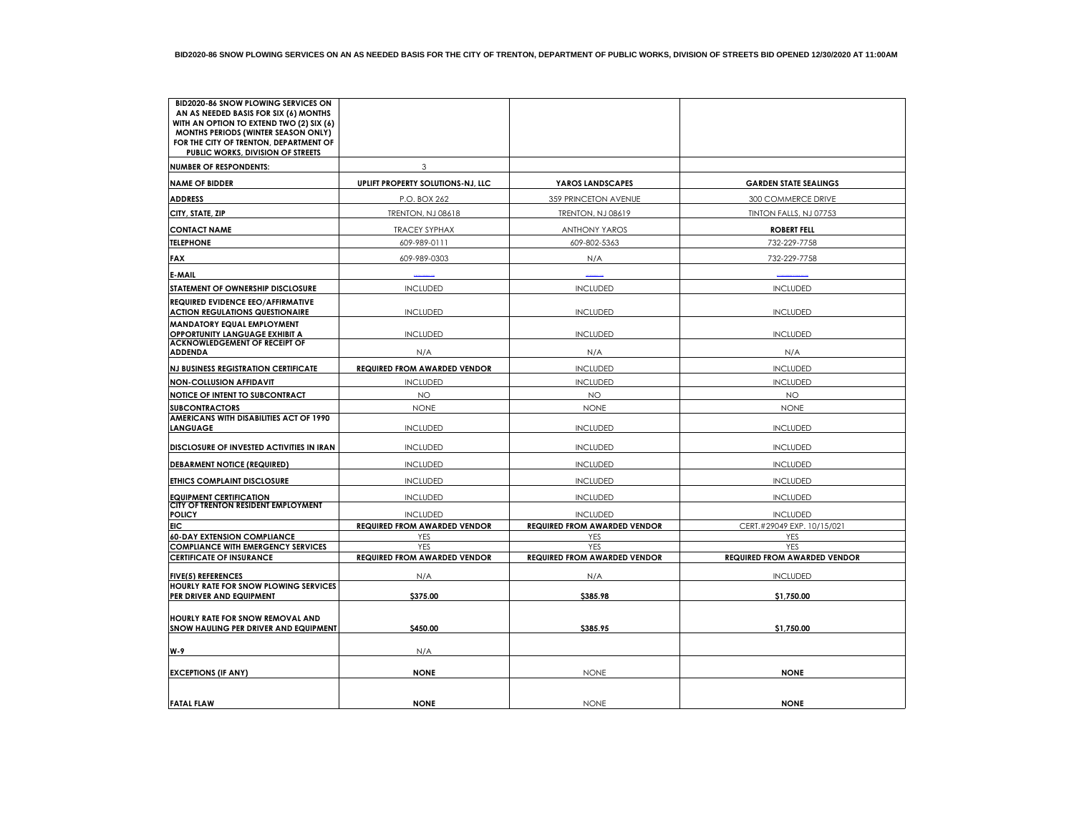| <b>BID2020-86 SNOW PLOWING SERVICES ON</b><br>AN AS NEEDED BASIS FOR SIX (6) MONTHS |                                     |                                     |                                     |
|-------------------------------------------------------------------------------------|-------------------------------------|-------------------------------------|-------------------------------------|
| WITH AN OPTION TO EXTEND TWO (2) SIX (6)                                            |                                     |                                     |                                     |
| MONTHS PERIODS (WINTER SEASON ONLY)                                                 |                                     |                                     |                                     |
| FOR THE CITY OF TRENTON, DEPARTMENT OF<br>PUBLIC WORKS, DIVISION OF STREETS         |                                     |                                     |                                     |
| <b>NUMBER OF RESPONDENTS:</b>                                                       | 3                                   |                                     |                                     |
| <b>NAME OF BIDDER</b>                                                               | UPLIFT PROPERTY SOLUTIONS-NJ, LLC   | YAROS LANDSCAPES                    | <b>GARDEN STATE SEALINGS</b>        |
| <b>ADDRESS</b>                                                                      | P.O. BOX 262                        | 359 PRINCETON AVENUE                | 300 COMMERCE DRIVE                  |
| CITY, STATE, ZIP                                                                    | <b>TRENTON, NJ 08618</b>            | <b>TRENTON, NJ 08619</b>            | TINTON FALLS, NJ 07753              |
| <b>CONTACT NAME</b>                                                                 | <b>TRACEY SYPHAX</b>                | <b>ANTHONY YAROS</b>                | <b>ROBERT FELL</b>                  |
| <b>TELEPHONE</b>                                                                    | 609-989-0111                        | 609-802-5363                        | 732-229-7758                        |
| FAX                                                                                 | 609-989-0303                        | N/A                                 | 732-229-7758                        |
| E-MAIL                                                                              |                                     |                                     |                                     |
| STATEMENT OF OWNERSHIP DISCLOSURE                                                   | <b>INCLUDED</b>                     | <b>INCLUDED</b>                     | <b>INCLUDED</b>                     |
| <b>REQUIRED EVIDENCE EEO/AFFIRMATIVE</b><br><b>ACTION REGULATIONS QUESTIONAIRE</b>  | <b>INCLUDED</b>                     | <b>INCLUDED</b>                     | <b>INCLUDED</b>                     |
| MANDATORY EQUAL EMPLOYMENT<br>OPPORTUNITY LANGUAGE EXHIBIT A                        | <b>INCLUDED</b>                     | <b>INCLUDED</b>                     | <b>INCLUDED</b>                     |
| <b>ACKNOWLEDGEMENT OF RECEIPT OF</b><br><b>ADDENDA</b>                              | N/A                                 | N/A                                 | N/A                                 |
| <b>NJ BUSINESS REGISTRATION CERTIFICATE</b>                                         | <b>REQUIRED FROM AWARDED VENDOR</b> | <b>INCLUDED</b>                     | <b>INCLUDED</b>                     |
| <b>NON-COLLUSION AFFIDAVIT</b>                                                      | <b>INCLUDED</b>                     | <b>INCLUDED</b>                     | <b>INCLUDED</b>                     |
| NOTICE OF INTENT TO SUBCONTRACT                                                     | NO                                  | <b>NO</b>                           | <b>NO</b>                           |
|                                                                                     |                                     |                                     |                                     |
| <b>SUBCONTRACTORS</b><br>AMERICANS WITH DISABILITIES ACT OF 1990                    | <b>NONE</b>                         | <b>NONE</b>                         | <b>NONE</b>                         |
| LANGUAGE                                                                            | <b>INCLUDED</b>                     | <b>INCLUDED</b>                     | <b>INCLUDED</b>                     |
| DISCLOSURE OF INVESTED ACTIVITIES IN IRAN                                           | <b>INCLUDED</b>                     | <b>INCLUDED</b>                     | <b>INCLUDED</b>                     |
| <b>DEBARMENT NOTICE (REQUIRED)</b>                                                  | <b>INCLUDED</b>                     | <b>INCLUDED</b>                     | <b>INCLUDED</b>                     |
| ETHICS COMPLAINT DISCLOSURE                                                         | <b>INCLUDED</b>                     | <b>INCLUDED</b>                     | <b>INCLUDED</b>                     |
| <b>EQUIPMENT CERTIFICATION</b>                                                      | <b>INCLUDED</b>                     | <b>INCLUDED</b>                     | <b>INCLUDED</b>                     |
| CITY OF TRENTON RESIDENT EMPLOYMENT<br><b>POLICY</b>                                | <b>INCLUDED</b>                     | <b>INCLUDED</b>                     | <b>INCLUDED</b>                     |
| EIC                                                                                 | <b>REQUIRED FROM AWARDED VENDOR</b> | <b>REQUIRED FROM AWARDED VENDOR</b> | CERT.#29049 EXP. 10/15/021          |
| <b>60-DAY EXTENSION COMPLIANCE</b>                                                  | YES                                 | YES                                 | YES                                 |
| <b>COMPLIANCE WITH EMERGENCY SERVICES</b>                                           | <b>YES</b>                          | <b>YES</b>                          | YES                                 |
| <b>CERTIFICATE OF INSURANCE</b>                                                     | <b>REQUIRED FROM AWARDED VENDOR</b> | <b>REQUIRED FROM AWARDED VENDOR</b> | <b>REQUIRED FROM AWARDED VENDOR</b> |
| <b>FIVE(5) REFERENCES</b>                                                           | N/A                                 | N/A                                 | <b>INCLUDED</b>                     |
| <b>HOURLY RATE FOR SNOW PLOWING SERVICES</b><br>PER DRIVER AND EQUIPMENT            | \$375.00                            | \$385.98                            | \$1,750.00                          |
|                                                                                     |                                     |                                     |                                     |
| <b>HOURLY RATE FOR SNOW REMOVAL AND</b><br>SNOW HAULING PER DRIVER AND EQUIPMENT    | \$450.00                            | \$385.95                            | \$1,750.00                          |
| W-9                                                                                 | N/A                                 |                                     |                                     |
|                                                                                     |                                     |                                     |                                     |
| <b>EXCEPTIONS (IF ANY)</b>                                                          | <b>NONE</b>                         | <b>NONE</b>                         | <b>NONE</b>                         |
|                                                                                     |                                     |                                     |                                     |
| <b>FATAL FLAW</b>                                                                   | <b>NONE</b>                         | <b>NONE</b>                         | <b>NONE</b>                         |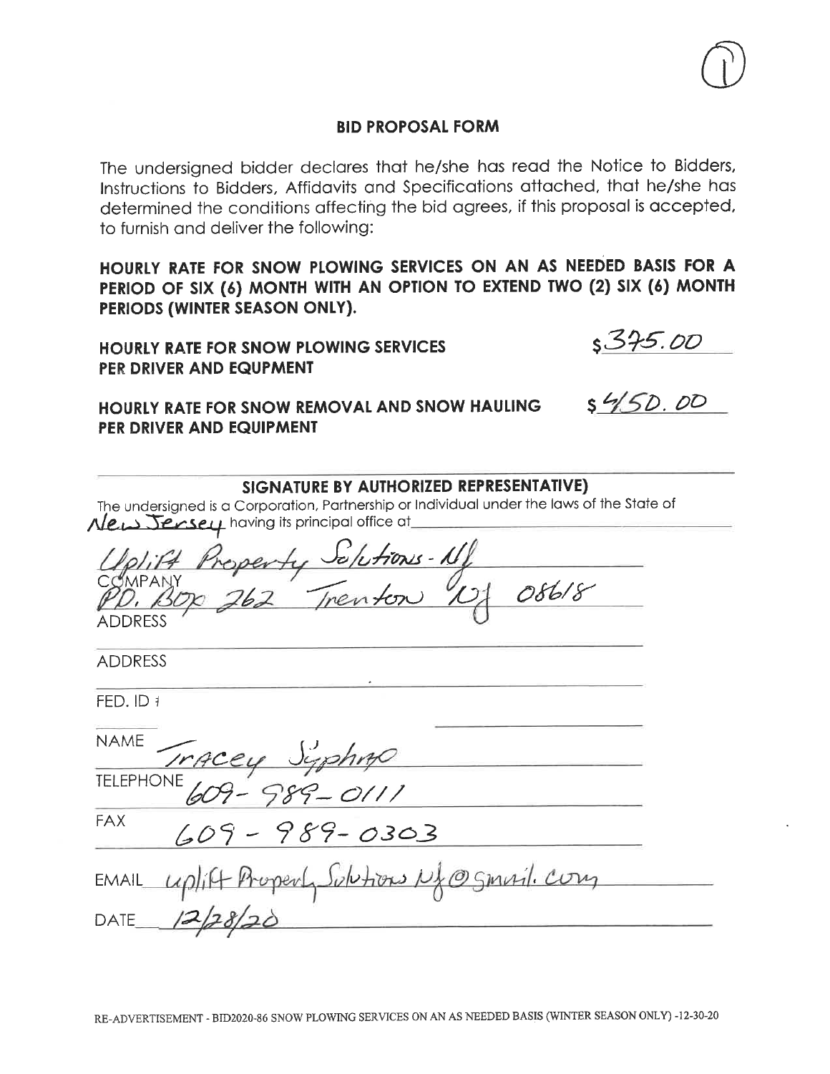The undersigned bidder declares that he/she has read the Notice to Bidders, Instructions to Bidders, Affidavits and Specifications attached, that he/she has determined the conditions affecting the bid agrees, if this proposal is accepted, to furnish and deliver the following:

HOURLY RATE FOR SNOW PLOWING SERVICES ON AN AS NEEDED BASIS FOR A PERIOD OF SIX (6) MONTH WITH AN OPTION TO EXTEND TWO (2) SIX (6) MONTH PERIODS (WINTER SEASON ONLY).

SIGNATURE BY AUTHORIZED REPRESENTATIVE)

**HOURLY RATE FOR SNOW PLOWING SERVICES** PER DRIVER AND EQUPMENT

HOURLY RATE FOR SNOW REMOVAL AND SNOW HAULING PER DRIVER AND EQUIPMENT

| The undersigned is a Corporation, Partnership or Individual under the laws of the State of<br>New Jensey having its principal office at |
|-----------------------------------------------------------------------------------------------------------------------------------------|
| 1plift Property Solutions-11<br>OMPANY<br>D. BOX 262 Trenton 12/086/8<br><b>ADDRESS</b>                                                 |
| <b>ADDRESS</b>                                                                                                                          |
| FED. ID 1                                                                                                                               |
| NAME                                                                                                                                    |
| NAME Tracey Syphing                                                                                                                     |
| <b>FAX</b><br>$609 - 989 - 0303$                                                                                                        |
| EMAIL uplift Property Subtions N& @ Smuil. Con<br><b>DATE</b>                                                                           |

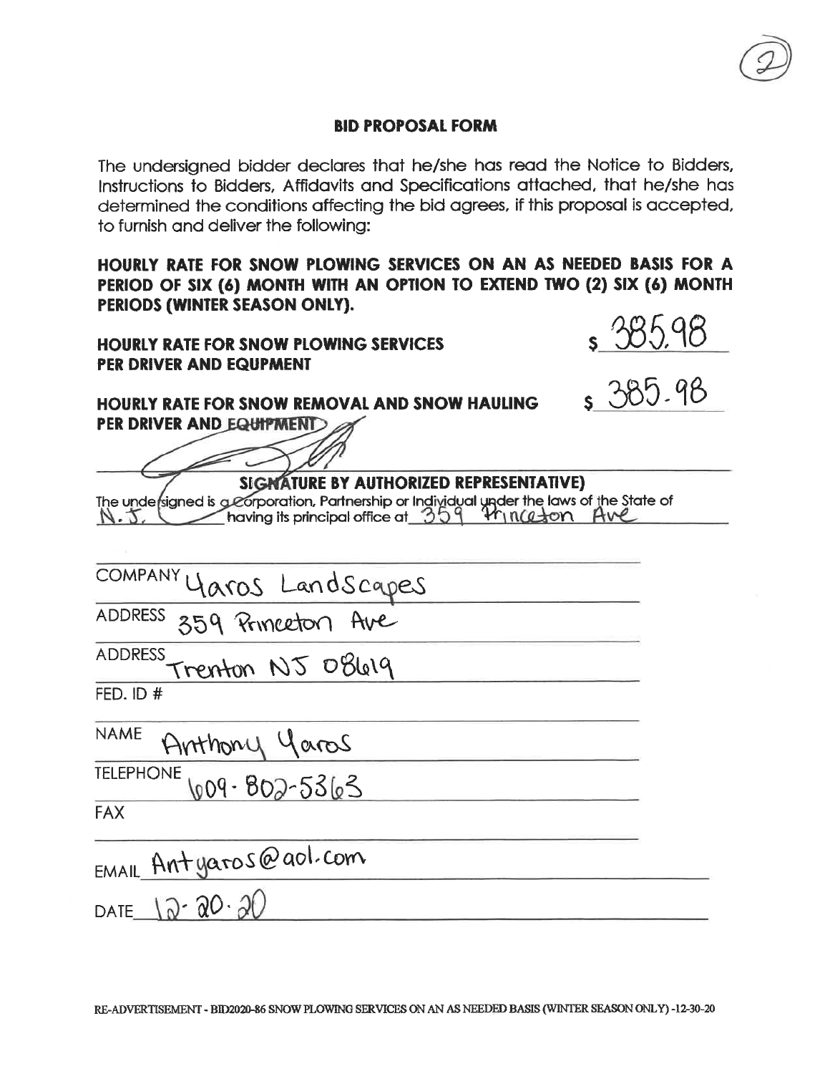to furnish and deliver the following: HOURLY RATE FOR SNOW PLOWING SERVICES ON AN AS NEEDED BASIS FOR A PERIOD OF SIX (6) MONTH WITH AN OPTION TO EXTEND TWO (2) SIX (6) MONTH PERIODS (WINTER SEASON ONLY). 285.98 **HOURLY RATE FOR SNOW PLOWING SERVICES** PER DRIVER AND EQUPMENT 385.98 HOURLY RATE FOR SNOW REMOVAL AND SNOW HAULING PER DRIVER AND EQUIPMENT SIGNATURE BY AUTHORIZED REPRESENTATIVE) The undersigned is a corporation, Partnership or Individual under the laws of the State of  $N.5$ , **COMPANY** Yaros Landscapes 359 Princeton Ave ADDRESS **ADDRESS** Trenton NJ 08619 FED. ID  $#$ **NAME** Arthony Yaros **TELEPHONE** 009-802-5363 **FAX** EMAIL Antyaros@aol.com DATE  $12 - 20 - 20$ 

The undersigned bidder declares that he/she has read the Notice to Bidders, Instructions to Bidders, Affidavits and Specifications attached, that he/she has determined the conditions affecting the bid agrees, if this proposal is accepted,

RE-ADVERTISEMENT - BID2020-86 SNOW PLOWING SERVICES ON AN AS NEEDED BASIS (WINTER SEASON ONLY) -12-30-20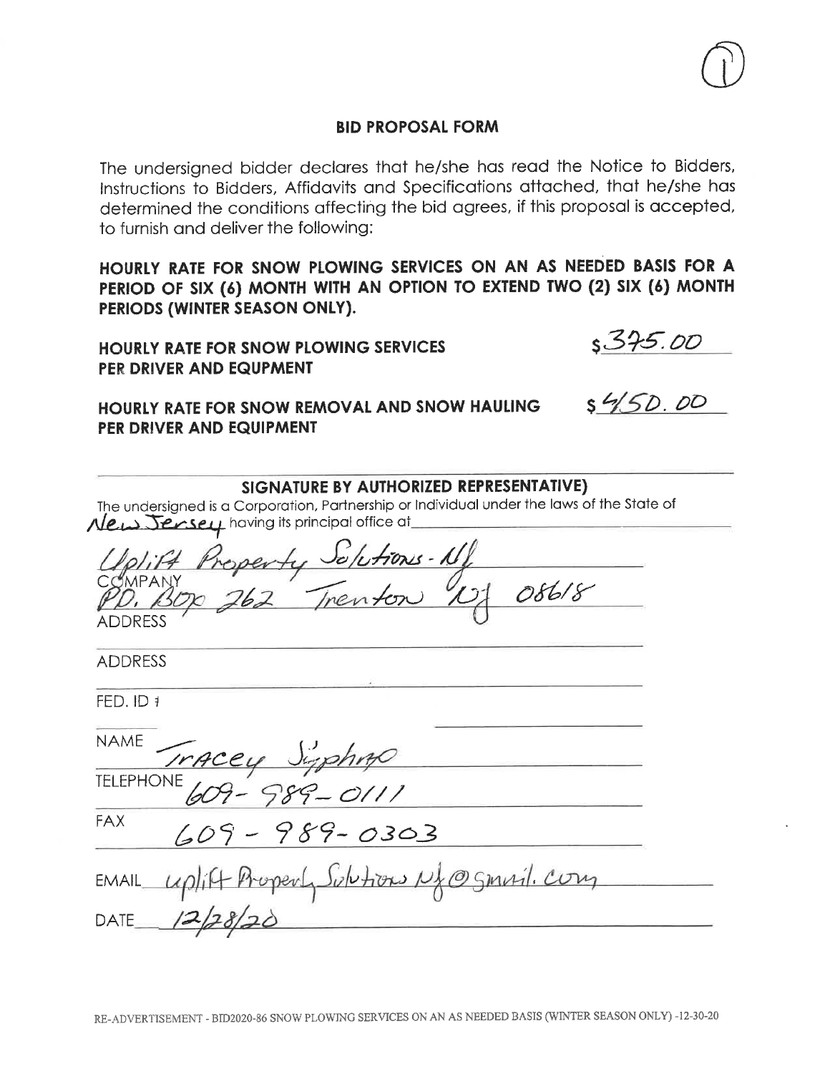The undersigned bidder declares that he/she has read the Notice to Bidders, Instructions to Bidders, Affidavits and Specifications attached, that he/she has determined the conditions affecting the bid agrees, if this proposal is accepted, to furnish and deliver the following:

HOURLY RATE FOR SNOW PLOWING SERVICES ON AN AS NEEDED BASIS FOR A PERIOD OF SIX (6) MONTH WITH AN OPTION TO EXTEND TWO (2) SIX (6) MONTH PERIODS (WINTER SEASON ONLY).

SIGNATURE BY AUTHORIZED REPRESENTATIVE)

HOURLY RATE FOR SNOW PLOWING SERVICES PER DRIVER AND EQUPMENT

HOURLY RATE FOR SNOW REMOVAL AND SNOW HAULING PER DRIVER AND EQUIPMENT

<u>5375.00</u><br>5450.00

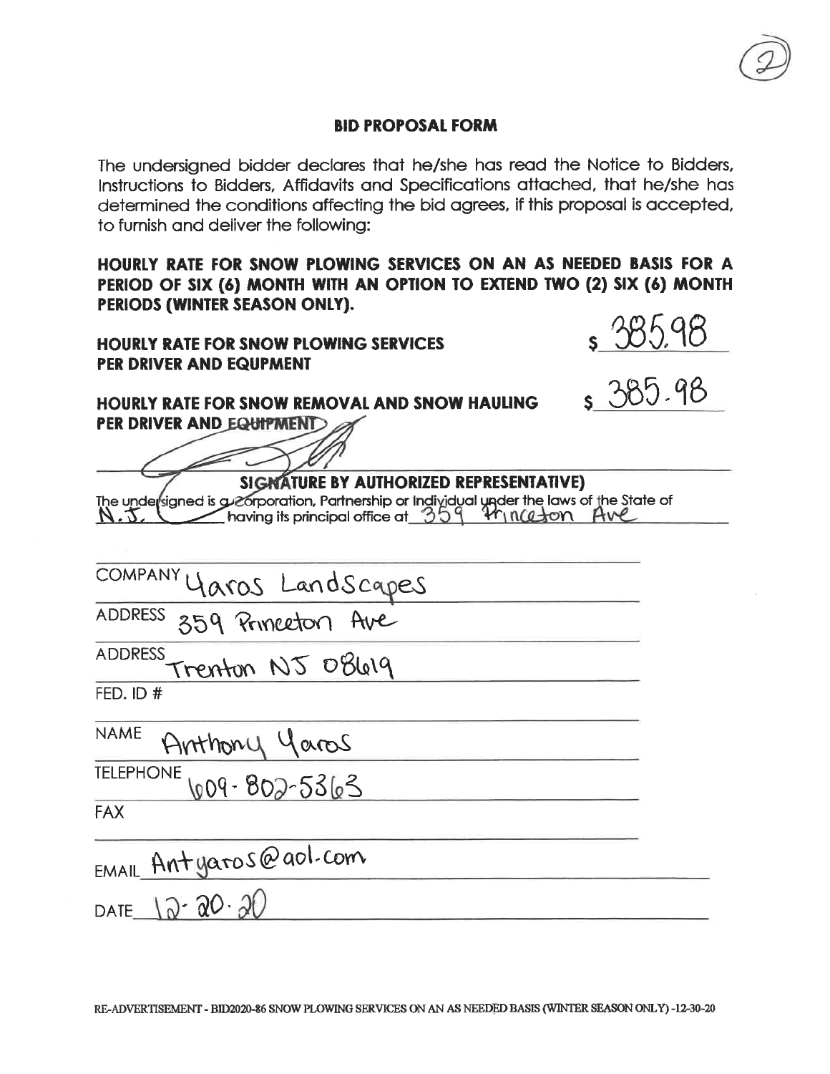The undersigned bidder declares that he/she has read the Notice to Bidders, Instructions to Bidders, Affidavits and Specifications attached, that he/she has determined the conditions affecting the bid agrees, if this proposal is accepted,

to furnish and deliver the following:

HOURLY RATE FOR SNOW PLOWING SERVICES ON AN AS NEEDED BASIS FOR A PERIOD OF SIX (6) MONTH WITH AN OPTION TO EXTEND TWO (2) SIX (6) MONTH PERIODS (WINTER SEASON ONLY).

**HOURLY RATE FOR SNOW PLOWING SERVICES** PER DRIVER AND EQUPMENT



 $385.98$ 

**HOURLY RATE FOR SNOW REMOVAL AND SNOW HAULING** PER DRIVER AND EQUIPMENT

SIGNATURE BY AUTHORIZED REPRESENTATIVE) The undersigned is a corporation, Partnership or Individual under the laws of the State of  $N.5$ ,

**COMPANY** <u> laros Landscapes</u> ADDRESS 359 Princeton Ave **ADDRESS** renton NJ 08619 FED. ID  $#$ **NAME** Anthony Yaros **TELEPHONE** 009-802-53103 **FAX** EMAIL Antyaros@aol.com